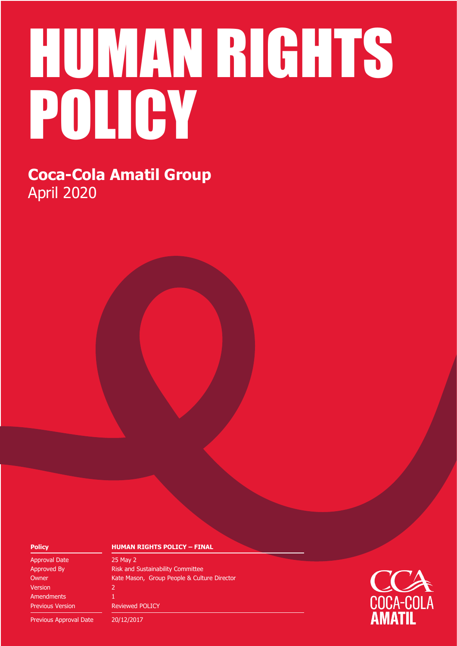# HUMAN RIGHTS POLICY

**Coca-Cola Amatil Group** April 2020

Approval Date 25 May 2 Version 2 **Amendments** Previous Version Reviewed POLICY

#### **Policy HUMAN RIGHTS POLICY – FINAL**

Approved By **Risk and Sustainability Committee** Owner **Kate Mason, Group People & Culture Director** 

Previous Approval Date 20/12/2017

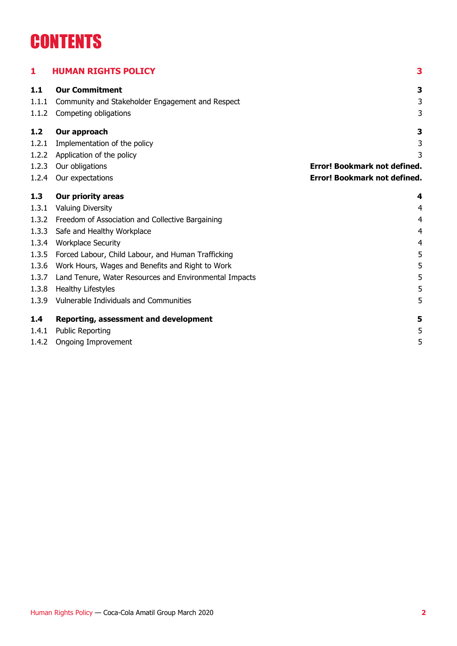## **CONTENTS**

| 1     | <b>HUMAN RIGHTS POLICY</b>                             | 3                                   |
|-------|--------------------------------------------------------|-------------------------------------|
| 1.1   | <b>Our Commitment</b>                                  | 3                                   |
| 1.1.1 | Community and Stakeholder Engagement and Respect       | 3                                   |
| 1.1.2 | Competing obligations                                  | 3                                   |
| 1.2   | Our approach                                           | 3                                   |
| 1.2.1 | Implementation of the policy                           | 3                                   |
| 1.2.2 | Application of the policy                              | 3                                   |
| 1.2.3 | Our obligations                                        | <b>Error! Bookmark not defined.</b> |
| 1.2.4 | Our expectations                                       | Error! Bookmark not defined.        |
| 1.3   | <b>Our priority areas</b>                              | 4                                   |
| 1.3.1 | <b>Valuing Diversity</b>                               | $\overline{4}$                      |
| 1.3.2 | Freedom of Association and Collective Bargaining       | $\overline{4}$                      |
| 1.3.3 | Safe and Healthy Workplace                             | $\overline{4}$                      |
| 1.3.4 | <b>Workplace Security</b>                              | 4                                   |
| 1.3.5 | Forced Labour, Child Labour, and Human Trafficking     | 5                                   |
| 1.3.6 | Work Hours, Wages and Benefits and Right to Work       | 5                                   |
| 1.3.7 | Land Tenure, Water Resources and Environmental Impacts | 5                                   |
| 1.3.8 | Healthy Lifestyles                                     | 5                                   |
| 1.3.9 | Vulnerable Individuals and Communities                 | 5                                   |
| 1.4   | Reporting, assessment and development                  | 5                                   |
| 1.4.1 | <b>Public Reporting</b>                                | 5                                   |
| 1.4.2 | <b>Ongoing Improvement</b>                             | 5                                   |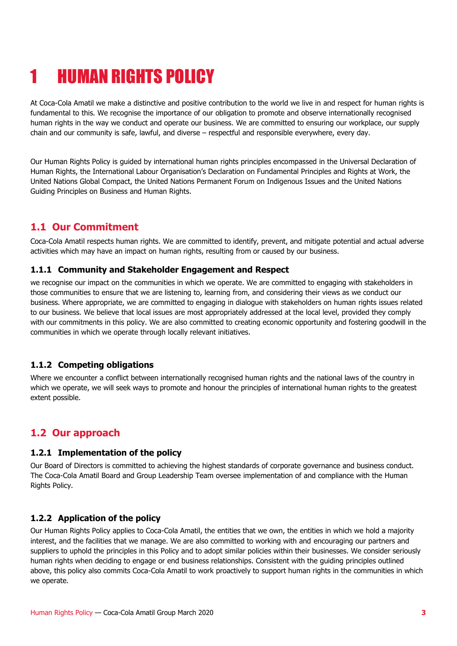## <span id="page-2-0"></span>1 HUMAN RIGHTS POLICY

At Coca-Cola Amatil we make a distinctive and positive contribution to the world we live in and respect for human rights is fundamental to this. We recognise the importance of our obligation to promote and observe internationally recognised human rights in the way we conduct and operate our business. We are committed to ensuring our workplace, our supply chain and our community is safe, lawful, and diverse – respectful and responsible everywhere, every day.

Our Human Rights Policy is guided by international human rights principles encompassed in the Universal Declaration of Human Rights, the International Labour Organisation's Declaration on Fundamental Principles and Rights at Work, the United Nations Global Compact, the United Nations Permanent Forum on Indigenous Issues and the United Nations Guiding Principles on Business and Human Rights.

#### <span id="page-2-1"></span>**1.1 Our Commitment**

Coca-Cola Amatil respects human rights. We are committed to identify, prevent, and mitigate potential and actual adverse activities which may have an impact on human rights, resulting from or caused by our business.

#### <span id="page-2-2"></span>**1.1.1 Community and Stakeholder Engagement and Respect**

we recognise our impact on the communities in which we operate. We are committed to engaging with stakeholders in those communities to ensure that we are listening to, learning from, and considering their views as we conduct our business. Where appropriate, we are committed to engaging in dialogue with stakeholders on human rights issues related to our business. We believe that local issues are most appropriately addressed at the local level, provided they comply with our commitments in this policy. We are also committed to creating economic opportunity and fostering goodwill in the communities in which we operate through locally relevant initiatives.

#### <span id="page-2-3"></span>**1.1.2 Competing obligations**

Where we encounter a conflict between internationally recognised human rights and the national laws of the country in which we operate, we will seek ways to promote and honour the principles of international human rights to the greatest extent possible.

### <span id="page-2-4"></span>**1.2 Our approach**

#### <span id="page-2-5"></span>**1.2.1 Implementation of the policy**

Our Board of Directors is committed to achieving the highest standards of corporate governance and business conduct. The Coca-Cola Amatil Board and Group Leadership Team oversee implementation of and compliance with the Human Rights Policy.

#### <span id="page-2-6"></span>**1.2.2 Application of the policy**

Our Human Rights Policy applies to Coca-Cola Amatil, the entities that we own, the entities in which we hold a majority interest, and the facilities that we manage. We are also committed to working with and encouraging our partners and suppliers to uphold the principles in this Policy and to adopt similar policies within their businesses. We consider seriously human rights when deciding to engage or end business relationships. Consistent with the guiding principles outlined above, this policy also commits Coca-Cola Amatil to work proactively to support human rights in the communities in which we operate.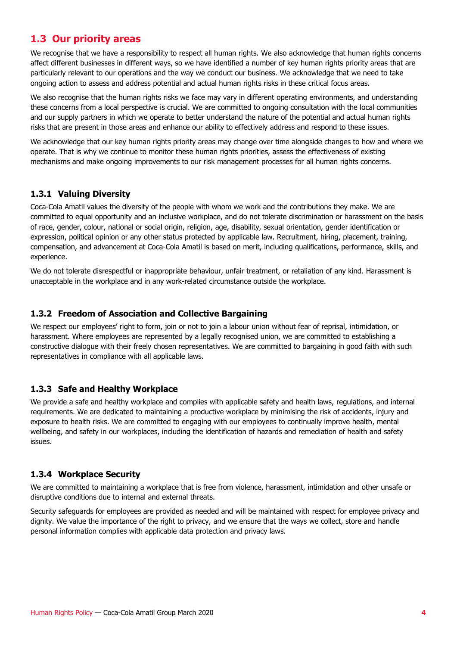#### <span id="page-3-0"></span>**1.3 Our priority areas**

We recognise that we have a responsibility to respect all human rights. We also acknowledge that human rights concerns affect different businesses in different ways, so we have identified a number of key human rights priority areas that are particularly relevant to our operations and the way we conduct our business. We acknowledge that we need to take ongoing action to assess and address potential and actual human rights risks in these critical focus areas.

We also recognise that the human rights risks we face may vary in different operating environments, and understanding these concerns from a local perspective is crucial. We are committed to ongoing consultation with the local communities and our supply partners in which we operate to better understand the nature of the potential and actual human rights risks that are present in those areas and enhance our ability to effectively address and respond to these issues.

We acknowledge that our key human rights priority areas may change over time alongside changes to how and where we operate. That is why we continue to monitor these human rights priorities, assess the effectiveness of existing mechanisms and make ongoing improvements to our risk management processes for all human rights concerns.

#### <span id="page-3-1"></span>**1.3.1 Valuing Diversity**

Coca-Cola Amatil values the diversity of the people with whom we work and the contributions they make. We are committed to equal opportunity and an inclusive workplace, and do not tolerate discrimination or harassment on the basis of race, gender, colour, national or social origin, religion, age, disability, sexual orientation, gender identification or expression, political opinion or any other status protected by applicable law. Recruitment, hiring, placement, training, compensation, and advancement at Coca-Cola Amatil is based on merit, including qualifications, performance, skills, and experience.

We do not tolerate disrespectful or inappropriate behaviour, unfair treatment, or retaliation of any kind. Harassment is unacceptable in the workplace and in any work-related circumstance outside the workplace.

#### <span id="page-3-2"></span>**1.3.2 Freedom of Association and Collective Bargaining**

We respect our employees' right to form, join or not to join a labour union without fear of reprisal, intimidation, or harassment. Where employees are represented by a legally recognised union, we are committed to establishing a constructive dialogue with their freely chosen representatives. We are committed to bargaining in good faith with such representatives in compliance with all applicable laws.

#### <span id="page-3-3"></span>**1.3.3 Safe and Healthy Workplace**

We provide a safe and healthy workplace and complies with applicable safety and health laws, regulations, and internal requirements. We are dedicated to maintaining a productive workplace by minimising the risk of accidents, injury and exposure to health risks. We are committed to engaging with our employees to continually improve health, mental wellbeing, and safety in our workplaces, including the identification of hazards and remediation of health and safety issues.

#### <span id="page-3-4"></span>**1.3.4 Workplace Security**

We are committed to maintaining a workplace that is free from violence, harassment, intimidation and other unsafe or disruptive conditions due to internal and external threats.

Security safeguards for employees are provided as needed and will be maintained with respect for employee privacy and dignity. We value the importance of the right to privacy, and we ensure that the ways we collect, store and handle personal information complies with applicable data protection and privacy laws.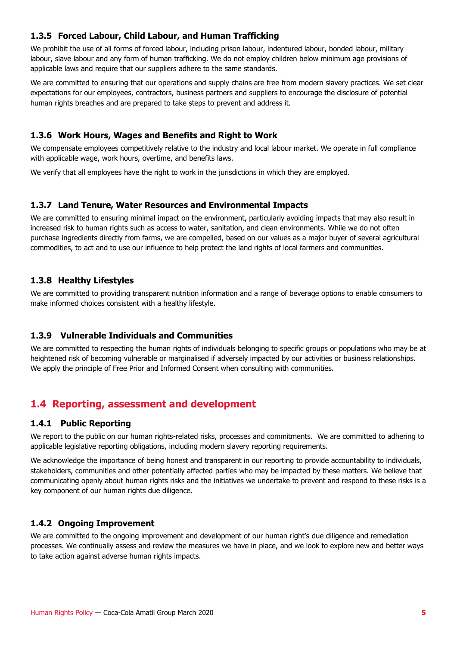#### <span id="page-4-0"></span>**1.3.5 Forced Labour, Child Labour, and Human Trafficking**

We prohibit the use of all forms of forced labour, including prison labour, indentured labour, bonded labour, military labour, slave labour and any form of human trafficking. We do not employ children below minimum age provisions of applicable laws and require that our suppliers adhere to the same standards.

We are committed to ensuring that our operations and supply chains are free from modern slavery practices. We set clear expectations for our employees, contractors, business partners and suppliers to encourage the disclosure of potential human rights breaches and are prepared to take steps to prevent and address it.

#### <span id="page-4-1"></span>**1.3.6 Work Hours, Wages and Benefits and Right to Work**

We compensate employees competitively relative to the industry and local labour market. We operate in full compliance with applicable wage, work hours, overtime, and benefits laws.

We verify that all employees have the right to work in the jurisdictions in which they are employed.

#### <span id="page-4-2"></span>**1.3.7 Land Tenure, Water Resources and Environmental Impacts**

We are committed to ensuring minimal impact on the environment, particularly avoiding impacts that may also result in increased risk to human rights such as access to water, sanitation, and clean environments. While we do not often purchase ingredients directly from farms, we are compelled, based on our values as a major buyer of several agricultural commodities, to act and to use our influence to help protect the land rights of local farmers and communities.

#### <span id="page-4-3"></span>**1.3.8 Healthy Lifestyles**

We are committed to providing transparent nutrition information and a range of beverage options to enable consumers to make informed choices consistent with a healthy lifestyle.

#### <span id="page-4-4"></span>**1.3.9 Vulnerable Individuals and Communities**

We are committed to respecting the human rights of individuals belonging to specific groups or populations who may be at heightened risk of becoming vulnerable or marginalised if adversely impacted by our activities or business relationships. We apply the principle of Free Prior and Informed Consent when consulting with communities.

#### <span id="page-4-5"></span>**1.4 Reporting, assessment and development**

#### <span id="page-4-6"></span>**1.4.1 Public Reporting**

We report to the public on our human rights-related risks, processes and commitments. We are committed to adhering to applicable legislative reporting obligations, including modern slavery reporting requirements.

We acknowledge the importance of being honest and transparent in our reporting to provide accountability to individuals, stakeholders, communities and other potentially affected parties who may be impacted by these matters. We believe that communicating openly about human rights risks and the initiatives we undertake to prevent and respond to these risks is a key component of our human rights due diligence.

#### <span id="page-4-7"></span>**1.4.2 Ongoing Improvement**

We are committed to the ongoing improvement and development of our human right's due diligence and remediation processes. We continually assess and review the measures we have in place, and we look to explore new and better ways to take action against adverse human rights impacts.